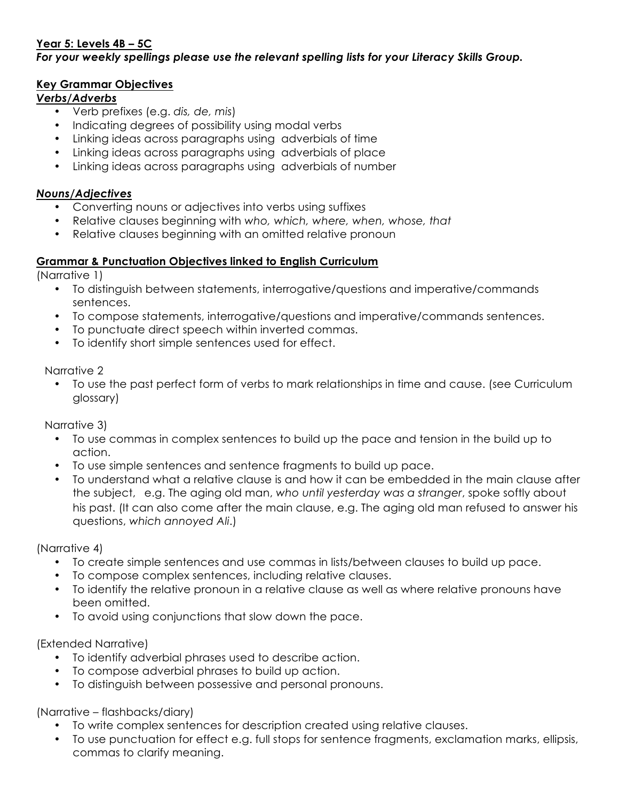## **Year 5: Levels 4B – 5C**

*For your weekly spellings please use the relevant spelling lists for your Literacy Skills Group.*

#### **Key Grammar Objectives**

### *Verbs/Adverbs*

- Verb prefixes (e.g. *dis, de, mis*)
- Indicating degrees of possibility using modal verbs
- Linking ideas across paragraphs using adverbials of time
- Linking ideas across paragraphs using adverbials of place
- Linking ideas across paragraphs using adverbials of number

#### *Nouns/Adjectives*

- Converting nouns or adjectives into verbs using suffixes
- Relative clauses beginning with *who, which, where, when, whose, that*
- Relative clauses beginning with an omitted relative pronoun

#### **Grammar & Punctuation Objectives linked to English Curriculum**

(Narrative 1)

- To distinguish between statements, interrogative/questions and imperative/commands sentences.
- To compose statements, interrogative/questions and imperative/commands sentences.
- To punctuate direct speech within inverted commas.
- To identify short simple sentences used for effect.

Narrative 2

• To use the past perfect form of verbs to mark relationships in time and cause. (see Curriculum glossary)

Narrative 3)

- To use commas in complex sentences to build up the pace and tension in the build up to action.
- To use simple sentences and sentence fragments to build up pace.
- To understand what a relative clause is and how it can be embedded in the main clause after the subject, e.g. The aging old man, *who until yesterday was a stranger*, spoke softly about his past. (It can also come after the main clause, e.g. The aging old man refused to answer his questions, *which annoyed Ali*.)

(Narrative 4)

- To create simple sentences and use commas in lists/between clauses to build up pace.
- To compose complex sentences, including relative clauses.
- To identify the relative pronoun in a relative clause as well as where relative pronouns have been omitted.
- To avoid using conjunctions that slow down the pace.

(Extended Narrative)

- To identify adverbial phrases used to describe action.
- To compose adverbial phrases to build up action.
- To distinguish between possessive and personal pronouns.

(Narrative – flashbacks/diary)

- To write complex sentences for description created using relative clauses.
- To use punctuation for effect e.g. full stops for sentence fragments, exclamation marks, ellipsis, commas to clarify meaning.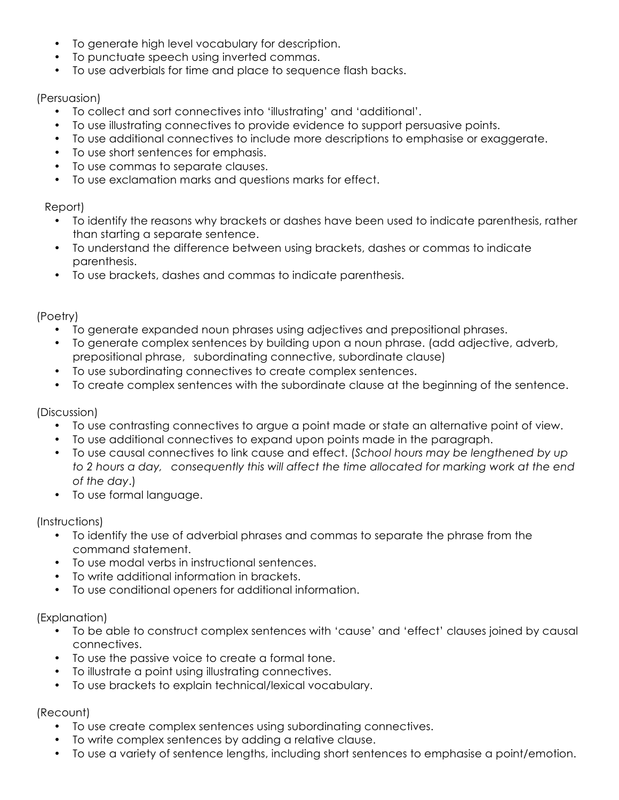- To generate high level vocabulary for description.
- To punctuate speech using inverted commas.
- To use adverbials for time and place to sequence flash backs.

## (Persuasion)

- To collect and sort connectives into 'illustrating' and 'additional'.
- To use illustrating connectives to provide evidence to support persuasive points.
- To use additional connectives to include more descriptions to emphasise or exaggerate.
- To use short sentences for emphasis.
- To use commas to separate clauses.
- To use exclamation marks and questions marks for effect.

## Report)

- To identify the reasons why brackets or dashes have been used to indicate parenthesis, rather than starting a separate sentence.
- To understand the difference between using brackets, dashes or commas to indicate parenthesis.
- To use brackets, dashes and commas to indicate parenthesis.

## (Poetry)

- To generate expanded noun phrases using adjectives and prepositional phrases.
- To generate complex sentences by building upon a noun phrase. (add adjective, adverb, prepositional phrase, subordinating connective, subordinate clause)
- To use subordinating connectives to create complex sentences.
- To create complex sentences with the subordinate clause at the beginning of the sentence.

# (Discussion)

- To use contrasting connectives to argue a point made or state an alternative point of view.
- To use additional connectives to expand upon points made in the paragraph.
- To use causal connectives to link cause and effect. (*School hours may be lengthened by up to 2 hours a day, consequently this will affect the time allocated for marking work at the end of the day*.)
- To use formal language.

# (Instructions)

- To identify the use of adverbial phrases and commas to separate the phrase from the command statement.
- To use modal verbs in instructional sentences.
- To write additional information in brackets.
- To use conditional openers for additional information.

## (Explanation)

- To be able to construct complex sentences with 'cause' and 'effect' clauses joined by causal connectives.
- To use the passive voice to create a formal tone.
- To illustrate a point using illustrating connectives.
- To use brackets to explain technical/lexical vocabulary.

## (Recount)

- To use create complex sentences using subordinating connectives.
- To write complex sentences by adding a relative clause.
- To use a variety of sentence lengths, including short sentences to emphasise a point/emotion.